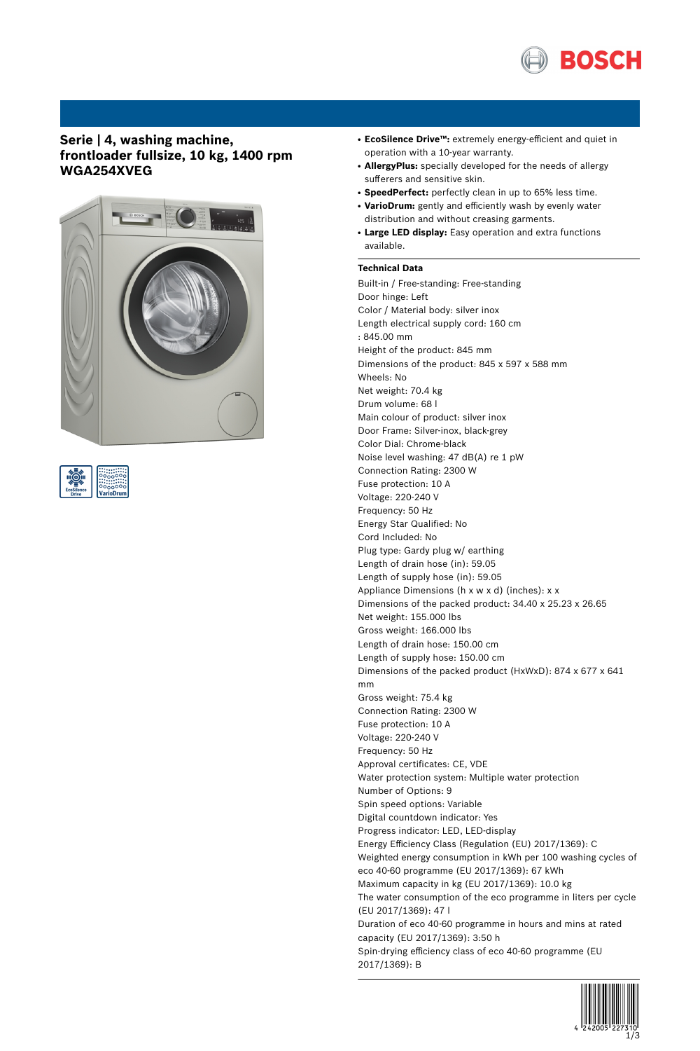

# **Serie | 4, washing machine, frontloader fullsize, 10 kg, 1400 rpm WGA254XVEG**





- **EcoSilence Drive™:** extremely energy-efficient and quiet in operation with a 10-year warranty.
- AllergyPlus: specially developed for the needs of allergy sufferers and sensitive skin.
- **SpeedPerfect:** perfectly clean in up to 65% less time.
- VarioDrum: gently and efficiently wash by evenly water distribution and without creasing garments.
- **Large LED display:** Easy operation and extra functions available.

### **Technical Data**

Built-in / Free-standing: Free-standing Door hinge: Left Color / Material body: silver inox Length electrical supply cord: 160 cm : 845.00 mm Height of the product: 845 mm Dimensions of the product: 845 x 597 x 588 mm Wheels: No Net weight: 70.4 kg Drum volume: 68 l Main colour of product: silver inox Door Frame: Silver-inox, black-grey Color Dial: Chrome-black Noise level washing: 47 dB(A) re 1 pW Connection Rating: 2300 W Fuse protection: 10 A Voltage: 220-240 V Frequency: 50 Hz Energy Star Qualified: No Cord Included: No Plug type: Gardy plug w/ earthing Length of drain hose (in): 59.05 Length of supply hose (in): 59.05 Appliance Dimensions (h x w x d) (inches): x x Dimensions of the packed product: 34.40 x 25.23 x 26.65 Net weight: 155.000 lbs Gross weight: 166.000 lbs Length of drain hose: 150.00 cm Length of supply hose: 150.00 cm Dimensions of the packed product (HxWxD): 874 x 677 x 641 mm Gross weight: 75.4 kg Connection Rating: 2300 W Fuse protection: 10 A Voltage: 220-240 V Frequency: 50 Hz Approval certificates: CE, VDE Water protection system: Multiple water protection Number of Options: 9 Spin speed options: Variable Digital countdown indicator: Yes Progress indicator: LED, LED-display Energy Efficiency Class (Regulation (EU) 2017/1369): C Weighted energy consumption in kWh per 100 washing cycles of eco 40-60 programme (EU 2017/1369): 67 kWh Maximum capacity in kg (EU 2017/1369): 10.0 kg The water consumption of the eco programme in liters per cycle (EU 2017/1369): 47 l Duration of eco 40-60 programme in hours and mins at rated capacity (EU 2017/1369): 3:50 h Spin-drying efficiency class of eco 40-60 programme (EU 2017/1369): B

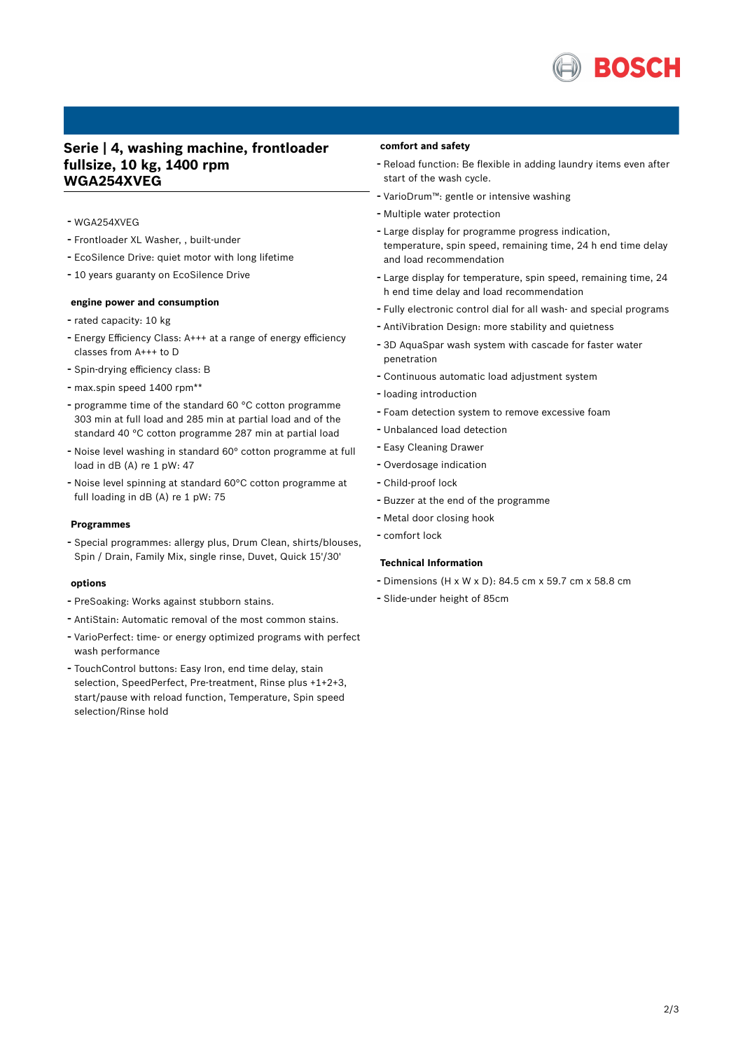

## **Serie | 4, washing machine, frontloader fullsize, 10 kg, 1400 rpm WGA254XVEG**

- WGA254XVEG
- Frontloader XL Washer, , built-under
- EcoSilence Drive: quiet motor with long lifetime
- <sup>10</sup> years guaranty on EcoSilence Drive

#### **engine power and consumption**

- rated capacity: <sup>10</sup> kg
- Energy Efficiency Class: A+++ at <sup>a</sup> range of energy efficiency classes from A+++ to D
- Spin-drying efficiency class: <sup>B</sup>
- max.spin speed <sup>1400</sup> rpm\*\*
- programme time of the standard <sup>60</sup> °C cotton programme 303 min at full load and 285 min at partial load and of the standard 40 °C cotton programme 287 min at partial load
- Noise level washing in standard 60° cotton programme at full load in dB (A) re 1 pW: 47
- Noise level spinning at standard 60°C cotton programme at full loading in dB (A) re 1 pW: 75

#### **Programmes**

- Special programmes: allergy plus, Drum Clean, shirts/blouses, Spin / Drain, Family Mix, single rinse, Duvet, Quick 15'/30'

#### **options**

- PreSoaking: Works against stubborn stains.
- AntiStain: Automatic removal of the most common stains.
- VarioPerfect: time- or energy optimized programs with perfect wash performance
- TouchControl buttons: Easy Iron, end time delay, stain selection, SpeedPerfect, Pre-treatment, Rinse plus +1+2+3, start/pause with reload function, Temperature, Spin speed selection/Rinse hold

#### **comfort and safety**

- Reload function: Be flexible in adding laundry items even after start of the wash cycle.
- VarioDrum™: gentle or intensive washing
- Multiple water protection
- Large display for programme progress indication, temperature, spin speed, remaining time, 24 h end time delay and load recommendation
- Large display for temperature, spin speed, remaining time, <sup>24</sup> h end time delay and load recommendation
- Fully electronic control dial for all wash- and special programs
- AntiVibration Design: more stability and quietness
- 3D AquaSpar wash system with cascade for faster water penetration
- Continuous automatic load adjustment system
- loading introduction
- Foam detection system to remove excessive foam
- Unbalanced load detection
- Easy Cleaning Drawer
- Overdosage indication
- Child-proof lock
- Buzzer at the end of the programme
- Metal door closing hook
- comfort lock

#### **Technical Information**

- Dimensions (H x W x D): 84.5 cm x 59.7 cm x 58.8 cm
- Slide-under height of 85cm